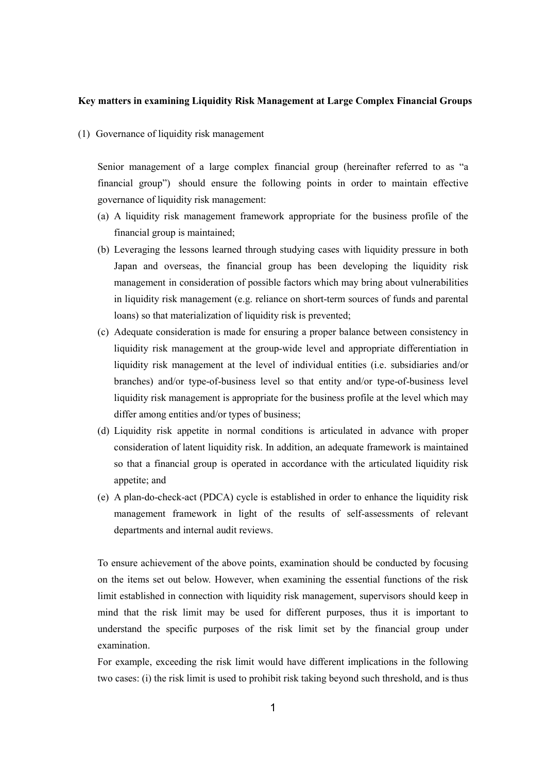## **Key matters in examining Liquidity Risk Management at Large Complex Financial Groups**

(1) Governance of liquidity risk management

Senior management of a large complex financial group (hereinafter referred to as "a financial group") should ensure the following points in order to maintain effective governance of liquidity risk management:

- (a) A liquidity risk management framework appropriate for the business profile of the financial group is maintained;
- (b) Leveraging the lessons learned through studying cases with liquidity pressure in both Japan and overseas, the financial group has been developing the liquidity risk management in consideration of possible factors which may bring about vulnerabilities in liquidity risk management (e.g. reliance on short-term sources of funds and parental loans) so that materialization of liquidity risk is prevented;
- (c) Adequate consideration is made for ensuring a proper balance between consistency in liquidity risk management at the group-wide level and appropriate differentiation in liquidity risk management at the level of individual entities (i.e. subsidiaries and/or branches) and/or type-of-business level so that entity and/or type-of-business level liquidity risk management is appropriate for the business profile at the level which may differ among entities and/or types of business;
- (d) Liquidity risk appetite in normal conditions is articulated in advance with proper consideration of latent liquidity risk. In addition, an adequate framework is maintained so that a financial group is operated in accordance with the articulated liquidity risk appetite; and
- (e) A plan-do-check-act (PDCA) cycle is established in order to enhance the liquidity risk management framework in light of the results of self-assessments of relevant departments and internal audit reviews.

To ensure achievement of the above points, examination should be conducted by focusing on the items set out below. However, when examining the essential functions of the risk limit established in connection with liquidity risk management, supervisors should keep in mind that the risk limit may be used for different purposes, thus it is important to understand the specific purposes of the risk limit set by the financial group under examination.

For example, exceeding the risk limit would have different implications in the following two cases: (i) the risk limit is used to prohibit risk taking beyond such threshold, and is thus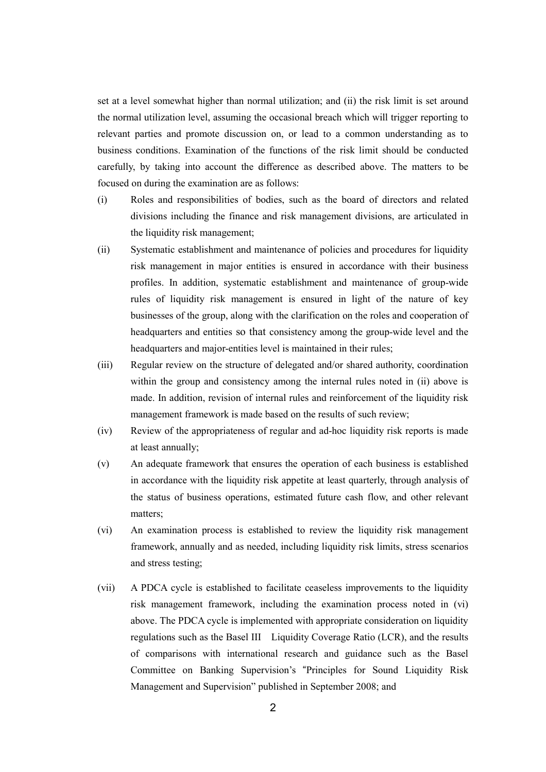set at a level somewhat higher than normal utilization; and (ii) the risk limit is set around the normal utilization level, assuming the occasional breach which will trigger reporting to relevant parties and promote discussion on, or lead to a common understanding as to business conditions. Examination of the functions of the risk limit should be conducted carefully, by taking into account the difference as described above. The matters to be focused on during the examination are as follows:

- (i) Roles and responsibilities of bodies, such as the board of directors and related divisions including the finance and risk management divisions, are articulated in the liquidity risk management;
- (ii) Systematic establishment and maintenance of policies and procedures for liquidity risk management in major entities is ensured in accordance with their business profiles. In addition, systematic establishment and maintenance of group-wide rules of liquidity risk management is ensured in light of the nature of key businesses of the group, along with the clarification on the roles and cooperation of headquarters and entities so that consistency among the group-wide level and the headquarters and major-entities level is maintained in their rules;
- (iii) Regular review on the structure of delegated and/or shared authority, coordination within the group and consistency among the internal rules noted in (ii) above is made. In addition, revision of internal rules and reinforcement of the liquidity risk management framework is made based on the results of such review;
- (iv) Review of the appropriateness of regular and ad-hoc liquidity risk reports is made at least annually;
- (v) An adequate framework that ensures the operation of each business is established in accordance with the liquidity risk appetite at least quarterly, through analysis of the status of business operations, estimated future cash flow, and other relevant matters;
- (vi) An examination process is established to review the liquidity risk management framework, annually and as needed, including liquidity risk limits, stress scenarios and stress testing;
- (vii) A PDCA cycle is established to facilitate ceaseless improvements to the liquidity risk management framework, including the examination process noted in (vi) above. The PDCA cycle is implemented with appropriate consideration on liquidity regulations such as the Basel III Liquidity Coverage Ratio (LCR), and the results of comparisons with international research and guidance such as the Basel Committee on Banking Supervision's "Principles for Sound Liquidity Risk Management and Supervision" published in September 2008; and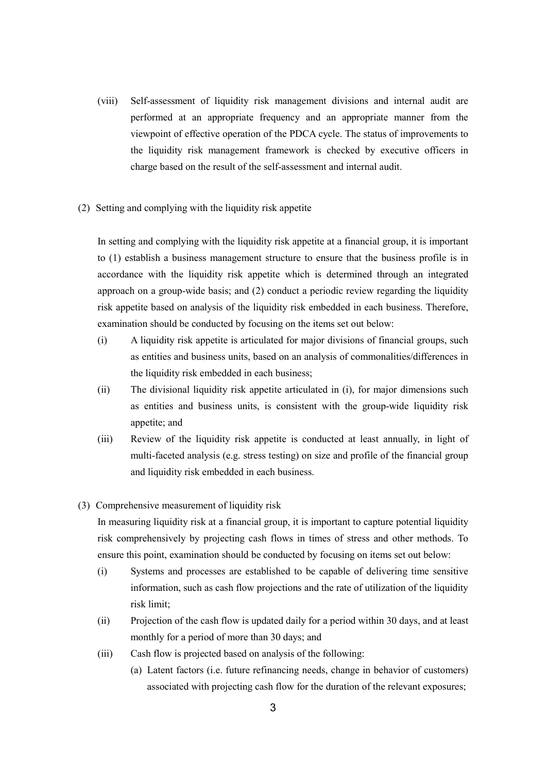- (viii) Self-assessment of liquidity risk management divisions and internal audit are performed at an appropriate frequency and an appropriate manner from the viewpoint of effective operation of the PDCA cycle. The status of improvements to the liquidity risk management framework is checked by executive officers in charge based on the result of the self-assessment and internal audit.
- (2) Setting and complying with the liquidity risk appetite

In setting and complying with the liquidity risk appetite at a financial group, it is important to (1) establish a business management structure to ensure that the business profile is in accordance with the liquidity risk appetite which is determined through an integrated approach on a group-wide basis; and (2) conduct a periodic review regarding the liquidity risk appetite based on analysis of the liquidity risk embedded in each business. Therefore, examination should be conducted by focusing on the items set out below:

- (i) A liquidity risk appetite is articulated for major divisions of financial groups, such as entities and business units, based on an analysis of commonalities/differences in the liquidity risk embedded in each business;
- (ii) The divisional liquidity risk appetite articulated in (i), for major dimensions such as entities and business units, is consistent with the group-wide liquidity risk appetite; and
- (iii) Review of the liquidity risk appetite is conducted at least annually, in light of multi-faceted analysis (e.g. stress testing) on size and profile of the financial group and liquidity risk embedded in each business.
- (3) Comprehensive measurement of liquidity risk

In measuring liquidity risk at a financial group, it is important to capture potential liquidity risk comprehensively by projecting cash flows in times of stress and other methods. To ensure this point, examination should be conducted by focusing on items set out below:

- (i) Systems and processes are established to be capable of delivering time sensitive information, such as cash flow projections and the rate of utilization of the liquidity risk limit;
- (ii) Projection of the cash flow is updated daily for a period within 30 days, and at least monthly for a period of more than 30 days; and
- (iii) Cash flow is projected based on analysis of the following:
	- (a) Latent factors (i.e. future refinancing needs, change in behavior of customers) associated with projecting cash flow for the duration of the relevant exposures;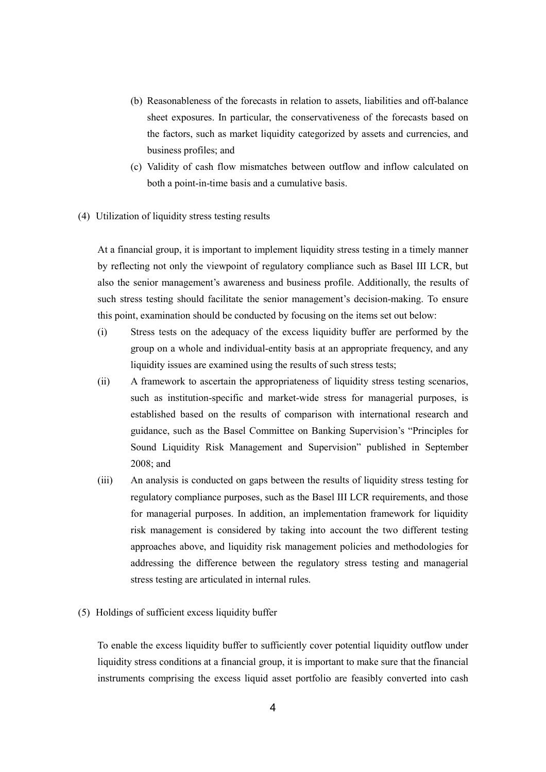- (b) Reasonableness of the forecasts in relation to assets, liabilities and off-balance sheet exposures. In particular, the conservativeness of the forecasts based on the factors, such as market liquidity categorized by assets and currencies, and business profiles; and
- (c) Validity of cash flow mismatches between outflow and inflow calculated on both a point-in-time basis and a cumulative basis.
- (4) Utilization of liquidity stress testing results

At a financial group, it is important to implement liquidity stress testing in a timely manner by reflecting not only the viewpoint of regulatory compliance such as Basel III LCR, but also the senior management's awareness and business profile. Additionally, the results of such stress testing should facilitate the senior management's decision-making. To ensure this point, examination should be conducted by focusing on the items set out below:

- (i) Stress tests on the adequacy of the excess liquidity buffer are performed by the group on a whole and individual-entity basis at an appropriate frequency, and any liquidity issues are examined using the results of such stress tests;
- (ii) A framework to ascertain the appropriateness of liquidity stress testing scenarios, such as institution-specific and market-wide stress for managerial purposes, is established based on the results of comparison with international research and guidance, such as the Basel Committee on Banking Supervision's "Principles for Sound Liquidity Risk Management and Supervision" published in September 2008; and
- (iii) An analysis is conducted on gaps between the results of liquidity stress testing for regulatory compliance purposes, such as the Basel III LCR requirements, and those for managerial purposes. In addition, an implementation framework for liquidity risk management is considered by taking into account the two different testing approaches above, and liquidity risk management policies and methodologies for addressing the difference between the regulatory stress testing and managerial stress testing are articulated in internal rules.
- (5) Holdings of sufficient excess liquidity buffer

To enable the excess liquidity buffer to sufficiently cover potential liquidity outflow under liquidity stress conditions at a financial group, it is important to make sure that the financial instruments comprising the excess liquid asset portfolio are feasibly converted into cash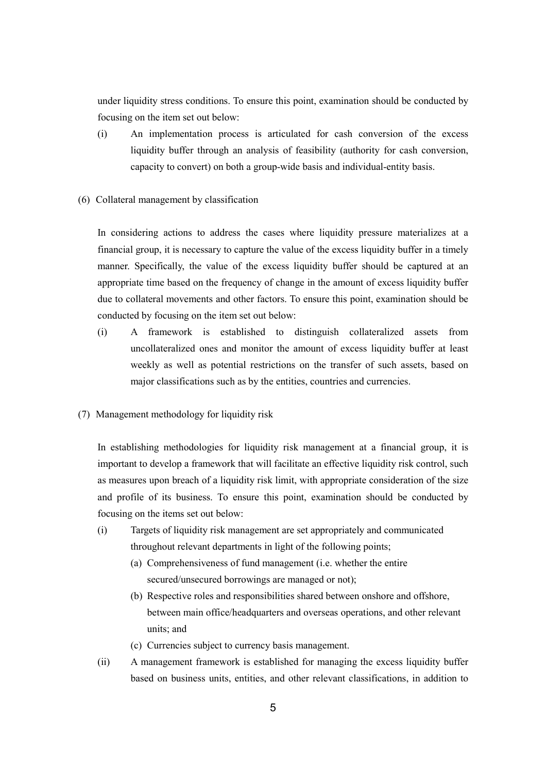under liquidity stress conditions. To ensure this point, examination should be conducted by focusing on the item set out below:

- (i) An implementation process is articulated for cash conversion of the excess liquidity buffer through an analysis of feasibility (authority for cash conversion, capacity to convert) on both a group-wide basis and individual-entity basis.
- (6) Collateral management by classification

In considering actions to address the cases where liquidity pressure materializes at a financial group, it is necessary to capture the value of the excess liquidity buffer in a timely manner. Specifically, the value of the excess liquidity buffer should be captured at an appropriate time based on the frequency of change in the amount of excess liquidity buffer due to collateral movements and other factors. To ensure this point, examination should be conducted by focusing on the item set out below:

- (i) A framework is established to distinguish collateralized assets from uncollateralized ones and monitor the amount of excess liquidity buffer at least weekly as well as potential restrictions on the transfer of such assets, based on major classifications such as by the entities, countries and currencies.
- (7) Management methodology for liquidity risk

In establishing methodologies for liquidity risk management at a financial group, it is important to develop a framework that will facilitate an effective liquidity risk control, such as measures upon breach of a liquidity risk limit, with appropriate consideration of the size and profile of its business. To ensure this point, examination should be conducted by focusing on the items set out below:

- (i) Targets of liquidity risk management are set appropriately and communicated throughout relevant departments in light of the following points;
	- (a) Comprehensiveness of fund management (i.e. whether the entire secured/unsecured borrowings are managed or not);
	- (b) Respective roles and responsibilities shared between onshore and offshore, between main office/headquarters and overseas operations, and other relevant units; and
	- (c) Currencies subject to currency basis management.
- (ii) A management framework is established for managing the excess liquidity buffer based on business units, entities, and other relevant classifications, in addition to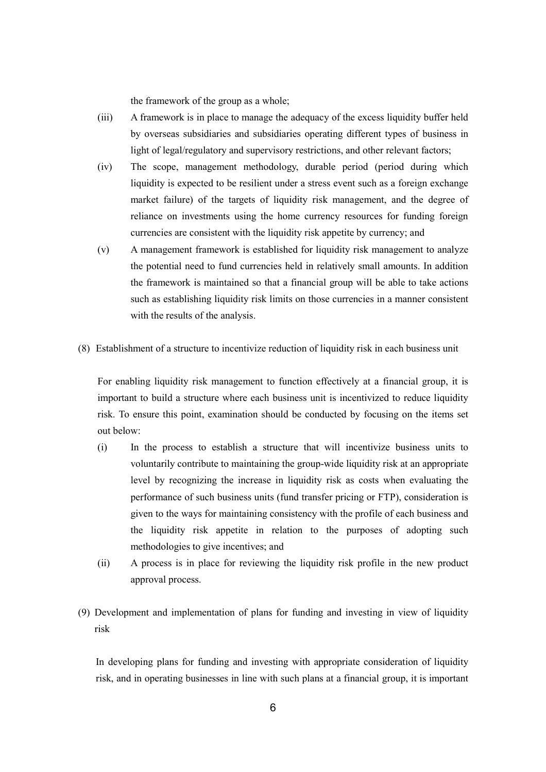the framework of the group as a whole;

- (iii) A framework is in place to manage the adequacy of the excess liquidity buffer held by overseas subsidiaries and subsidiaries operating different types of business in light of legal/regulatory and supervisory restrictions, and other relevant factors;
- (iv) The scope, management methodology, durable period (period during which liquidity is expected to be resilient under a stress event such as a foreign exchange market failure) of the targets of liquidity risk management, and the degree of reliance on investments using the home currency resources for funding foreign currencies are consistent with the liquidity risk appetite by currency; and
- (v) A management framework is established for liquidity risk management to analyze the potential need to fund currencies held in relatively small amounts. In addition the framework is maintained so that a financial group will be able to take actions such as establishing liquidity risk limits on those currencies in a manner consistent with the results of the analysis.
- (8) Establishment of a structure to incentivize reduction of liquidity risk in each business unit

For enabling liquidity risk management to function effectively at a financial group, it is important to build a structure where each business unit is incentivized to reduce liquidity risk. To ensure this point, examination should be conducted by focusing on the items set out below:

- (i) In the process to establish a structure that will incentivize business units to voluntarily contribute to maintaining the group-wide liquidity risk at an appropriate level by recognizing the increase in liquidity risk as costs when evaluating the performance of such business units (fund transfer pricing or FTP), consideration is given to the ways for maintaining consistency with the profile of each business and the liquidity risk appetite in relation to the purposes of adopting such methodologies to give incentives; and
- (ii) A process is in place for reviewing the liquidity risk profile in the new product approval process.
- (9) Development and implementation of plans for funding and investing in view of liquidity risk

In developing plans for funding and investing with appropriate consideration of liquidity risk, and in operating businesses in line with such plans at a financial group, it is important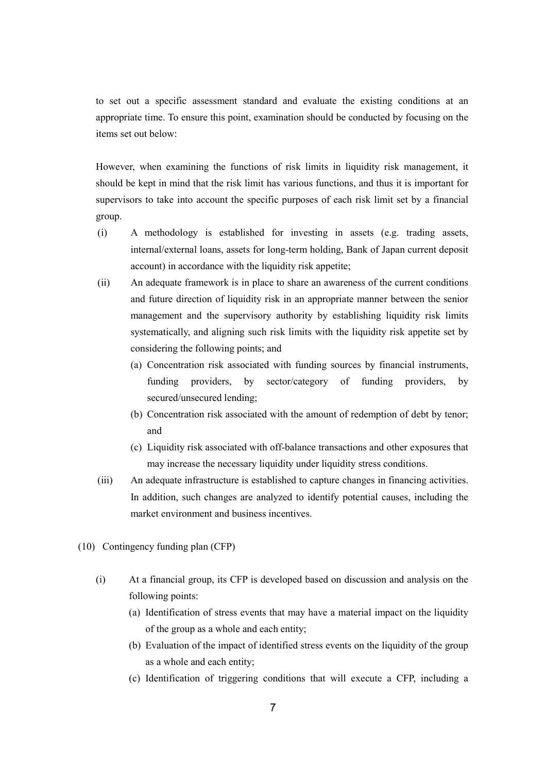to set out a specific assessment standard and evaluate the existing conditions at an appropriate time. To ensure this point, examination should be conducted by focusing on the items set out below:

However, when examining the functions of risk limits in liquidity risk management, it should be kept in mind that the risk limit has various functions, and thus it is important for supervisors to take into account the specific purposes of each risk limit set by a financial group.

- (i) A methodology is established for investing in assets (e.g. trading assets, internal/external loans, assets for long-term holding, Bank of Japan current deposit account) in accordance with the liquidity risk appetite;
- (ii) An adequate framework is in place to share an awareness of the current conditions and future direction of liquidity risk in an appropriate manner between the senior management and the supervisory authority by establishing liquidity risk limits systematically, and aligning such risk limits with the liquidity risk appetite set by considering the following points; and
	- (a) Concentration risk associated with funding sources by financial instruments, funding providers, by sector/category of funding providers, by secured/unsecured lending;
	- (b) Concentration risk associated with the amount of redemption of debt by tenor; and
	- (c) Liquidity risk associated with off-balance transactions and other exposures that may increase the necessary liquidity under liquidity stress conditions.
- (iii) An adequate infrastructure is established to capture changes in financing activities. In addition, such changes are analyzed to identify potential causes, including the market environment and business incentives.
- (10) Contingency funding plan (CFP)
	- (i) At a financial group, its CFP is developed based on discussion and analysis on the following points:
		- (a) Identification of stress events that may have a material impact on the liquidity of the group as a whole and each entity;
		- (b) Evaluation of the impact of identified stress events on the liquidity of the group as a whole and each entity;
		- (c) Identification of triggering conditions that will execute a CFP, including a